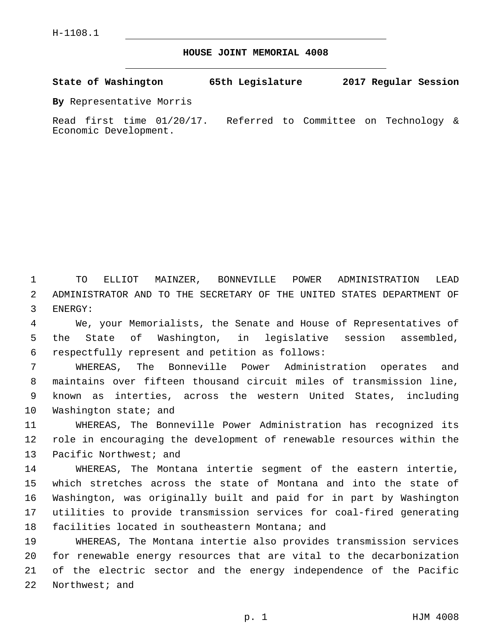**HOUSE JOINT MEMORIAL 4008**

**State of Washington 65th Legislature 2017 Regular Session**

**By** Representative Morris

Read first time 01/20/17. Referred to Committee on Technology & Economic Development.

1 TO ELLIOT MAINZER, BONNEVILLE POWER ADMINISTRATION LEAD 2 ADMINISTRATOR AND TO THE SECRETARY OF THE UNITED STATES DEPARTMENT OF 3 ENERGY:

4 We, your Memorialists, the Senate and House of Representatives of 5 the State of Washington, in legislative session assembled, respectfully represent and petition as follows:6

 WHEREAS, The Bonneville Power Administration operates and maintains over fifteen thousand circuit miles of transmission line, known as interties, across the western United States, including 10 Washington state; and

11 WHEREAS, The Bonneville Power Administration has recognized its 12 role in encouraging the development of renewable resources within the 13 Pacific Northwest; and

 WHEREAS, The Montana intertie segment of the eastern intertie, which stretches across the state of Montana and into the state of Washington, was originally built and paid for in part by Washington utilities to provide transmission services for coal-fired generating 18 facilities located in southeastern Montana; and

 WHEREAS, The Montana intertie also provides transmission services for renewable energy resources that are vital to the decarbonization of the electric sector and the energy independence of the Pacific 22 Northwest; and